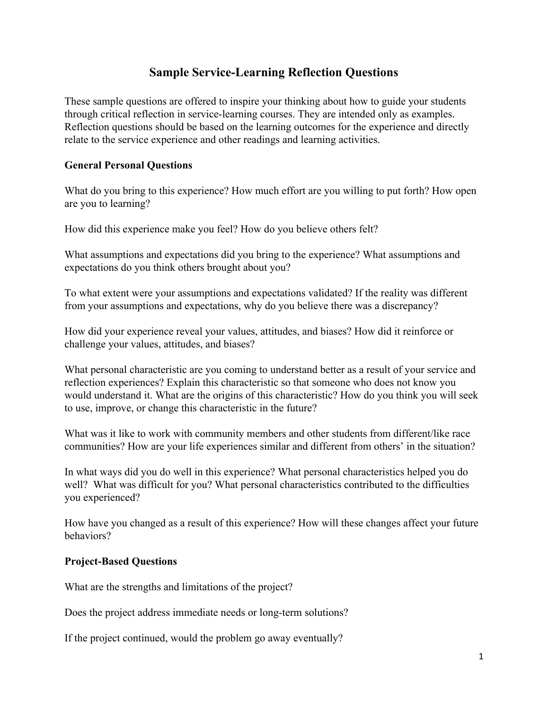# **Sample Service-Learning Reflection Questions**

These sample questions are offered to inspire your thinking about how to guide your students through critical reflection in service-learning courses. They are intended only as examples. Reflection questions should be based on the learning outcomes for the experience and directly relate to the service experience and other readings and learning activities.

#### **General Personal Questions**

What do you bring to this experience? How much effort are you willing to put forth? How open are you to learning?

How did this experience make you feel? How do you believe others felt?

What assumptions and expectations did you bring to the experience? What assumptions and expectations do you think others brought about you?

To what extent were your assumptions and expectations validated? If the reality was different from your assumptions and expectations, why do you believe there was a discrepancy?

How did your experience reveal your values, attitudes, and biases? How did it reinforce or challenge your values, attitudes, and biases?

What personal characteristic are you coming to understand better as a result of your service and reflection experiences? Explain this characteristic so that someone who does not know you would understand it. What are the origins of this characteristic? How do you think you will seek to use, improve, or change this characteristic in the future?

What was it like to work with community members and other students from different/like race communities? How are your life experiences similar and different from others' in the situation?

In what ways did you do well in this experience? What personal characteristics helped you do well? What was difficult for you? What personal characteristics contributed to the difficulties you experienced?

How have you changed as a result of this experience? How will these changes affect your future behaviors?

## **Project-Based Questions**

What are the strengths and limitations of the project?

Does the project address immediate needs or long-term solutions?

If the project continued, would the problem go away eventually?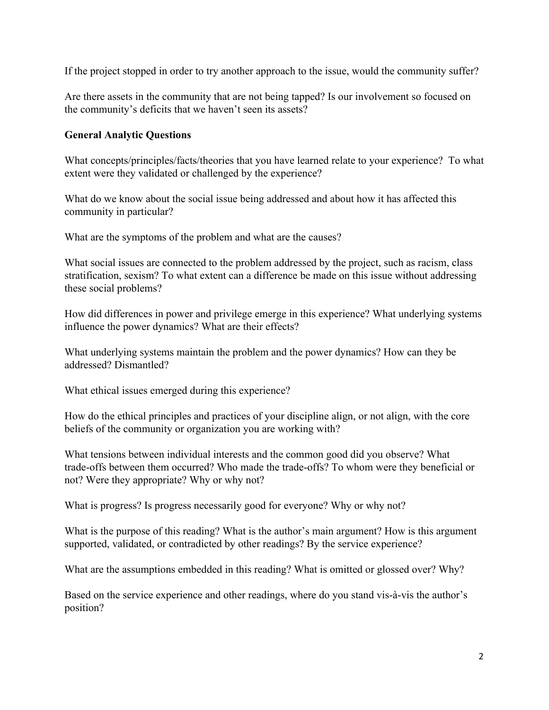If the project stopped in order to try another approach to the issue, would the community suffer?

Are there assets in the community that are not being tapped? Is our involvement so focused on the community's deficits that we haven't seen its assets?

## **General Analytic Questions**

What concepts/principles/facts/theories that you have learned relate to your experience? To what extent were they validated or challenged by the experience?

What do we know about the social issue being addressed and about how it has affected this community in particular?

What are the symptoms of the problem and what are the causes?

What social issues are connected to the problem addressed by the project, such as racism, class stratification, sexism? To what extent can a difference be made on this issue without addressing these social problems?

How did differences in power and privilege emerge in this experience? What underlying systems influence the power dynamics? What are their effects?

What underlying systems maintain the problem and the power dynamics? How can they be addressed? Dismantled?

What ethical issues emerged during this experience?

How do the ethical principles and practices of your discipline align, or not align, with the core beliefs of the community or organization you are working with?

What tensions between individual interests and the common good did you observe? What trade-offs between them occurred? Who made the trade-offs? To whom were they beneficial or not? Were they appropriate? Why or why not?

What is progress? Is progress necessarily good for everyone? Why or why not?

What is the purpose of this reading? What is the author's main argument? How is this argument supported, validated, or contradicted by other readings? By the service experience?

What are the assumptions embedded in this reading? What is omitted or glossed over? Why?

Based on the service experience and other readings, where do you stand vis-à-vis the author's position?